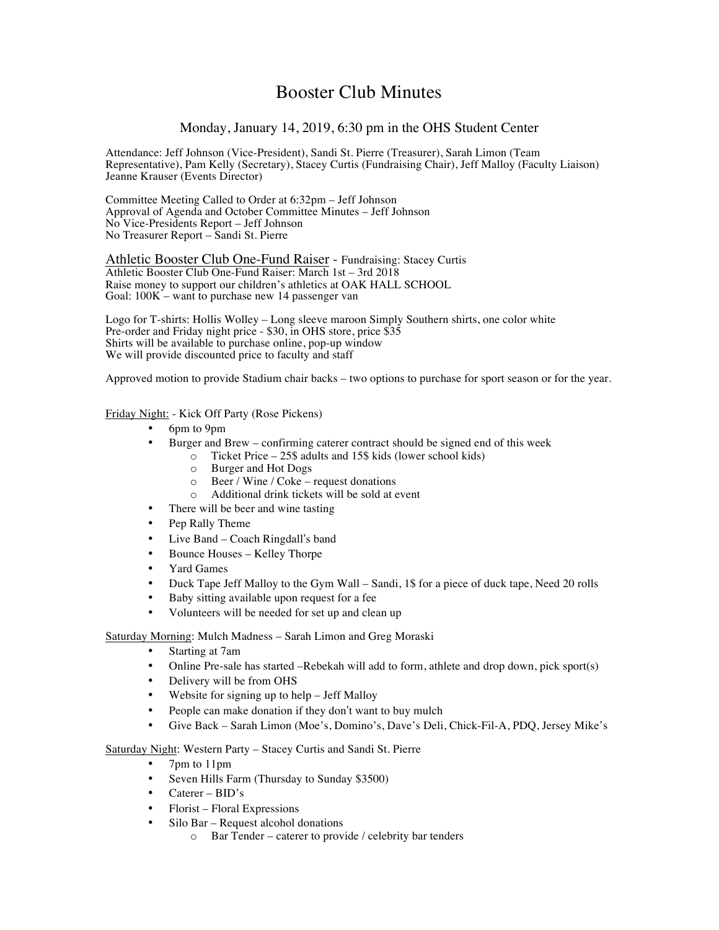# Booster Club Minutes

# Monday, January 14, 2019, 6:30 pm in the OHS Student Center

Attendance: Jeff Johnson (Vice-President), Sandi St. Pierre (Treasurer), Sarah Limon (Team Representative), Pam Kelly (Secretary), Stacey Curtis (Fundraising Chair), Jeff Malloy (Faculty Liaison) Jeanne Krauser (Events Director)

Committee Meeting Called to Order at 6:32pm – Jeff Johnson Approval of Agenda and October Committee Minutes – Jeff Johnson No Vice-Presidents Report – Jeff Johnson No Treasurer Report – Sandi St. Pierre

Athletic Booster Club One-Fund Raiser - Fundraising: Stacey Curtis Athletic Booster Club One-Fund Raiser: March 1st – 3rd 2018 Raise money to support our children's athletics at OAK HALL SCHOOL Goal: 100K – want to purchase new 14 passenger van

Logo for T-shirts: Hollis Wolley – Long sleeve maroon Simply Southern shirts, one color white Pre-order and Friday night price - \$30, in OHS store, price \$35 Shirts will be available to purchase online, pop-up window We will provide discounted price to faculty and staff

Approved motion to provide Stadium chair backs – two options to purchase for sport season or for the year.

## Friday Night: - Kick Off Party (Rose Pickens)

- 6pm to 9pm
- Burger and Brew confirming caterer contract should be signed end of this week
	- o Ticket Price 25\$ adults and 15\$ kids (lower school kids)
		- o Burger and Hot Dogs
		- o Beer / Wine / Coke request donations
		- o Additional drink tickets will be sold at event
- There will be beer and wine tasting
- Pep Rally Theme
- Live Band Coach Ringdall's band
- Bounce Houses Kelley Thorpe
- Yard Games
- Duck Tape Jeff Malloy to the Gym Wall Sandi, 1\$ for a piece of duck tape, Need 20 rolls
- Baby sitting available upon request for a fee
- Volunteers will be needed for set up and clean up

Saturday Morning: Mulch Madness – Sarah Limon and Greg Moraski

- Starting at 7am
- Online Pre-sale has started –Rebekah will add to form, athlete and drop down, pick sport(s)
- Delivery will be from OHS
- Website for signing up to help Jeff Malloy
- People can make donation if they don't want to buy mulch
- Give Back Sarah Limon (Moe's, Domino's, Dave's Deli, Chick-Fil-A, PDQ, Jersey Mike's

Saturday Night: Western Party – Stacey Curtis and Sandi St. Pierre

- 7pm to 11pm
- Seven Hills Farm (Thursday to Sunday \$3500)
- Caterer BID's
- Florist Floral Expressions
- Silo Bar Request alcohol donations
	- o Bar Tender caterer to provide / celebrity bar tenders